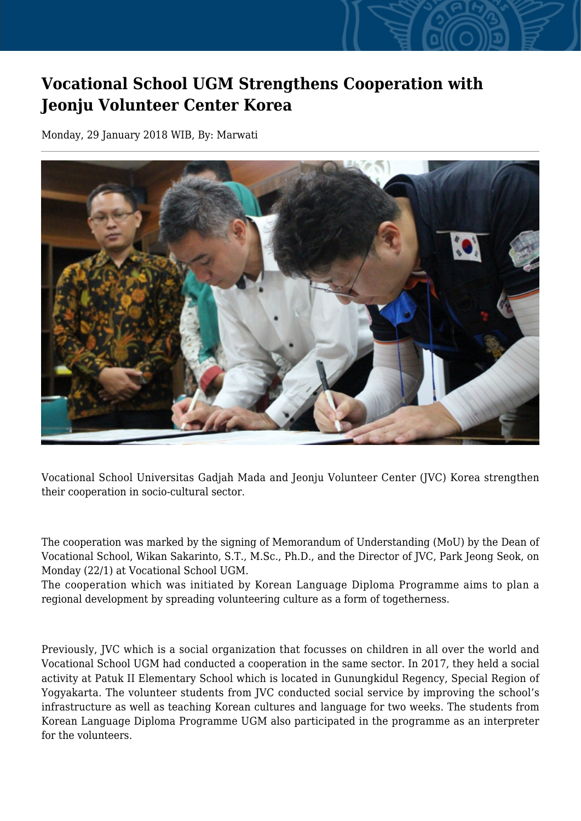## **Vocational School UGM Strengthens Cooperation with Jeonju Volunteer Center Korea**

Monday, 29 January 2018 WIB, By: Marwati



Vocational School Universitas Gadjah Mada and Jeonju Volunteer Center (JVC) Korea strengthen their cooperation in socio-cultural sector.

The cooperation was marked by the signing of Memorandum of Understanding (MoU) by the Dean of Vocational School, Wikan Sakarinto, S.T., M.Sc., Ph.D., and the Director of JVC, Park Jeong Seok, on Monday (22/1) at Vocational School UGM.

The cooperation which was initiated by Korean Language Diploma Programme aims to plan a regional development by spreading volunteering culture as a form of togetherness.

Previously, JVC which is a social organization that focusses on children in all over the world and Vocational School UGM had conducted a cooperation in the same sector. In 2017, they held a social activity at Patuk II Elementary School which is located in Gunungkidul Regency, Special Region of Yogyakarta. The volunteer students from JVC conducted social service by improving the school's infrastructure as well as teaching Korean cultures and language for two weeks. The students from Korean Language Diploma Programme UGM also participated in the programme as an interpreter for the volunteers.